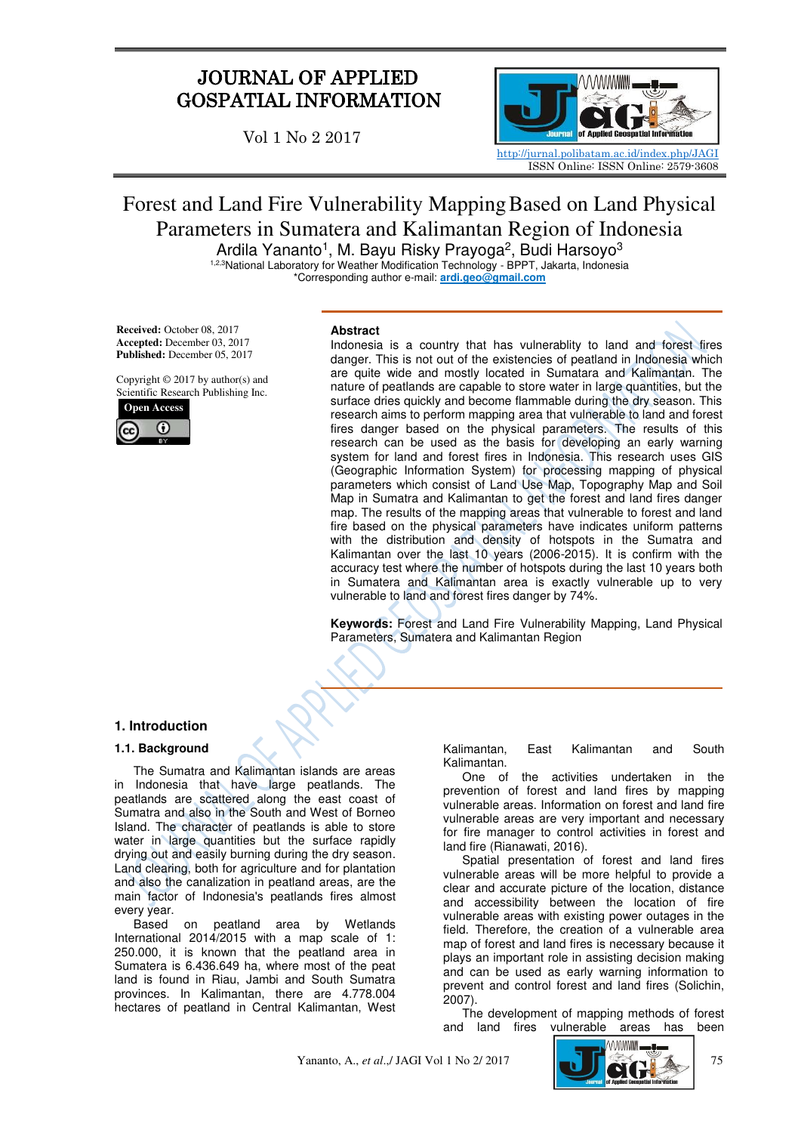# JOURNAL OF APPLIED GOSPATIAL INFORMATION

Vol 1 No 2 2017



# Forest and Land Fire Vulnerability MappingBased on Land Physical Parameters in Sumatera and Kalimantan Region of Indonesia

Ardila Yananto<sup>1</sup>, M. Bayu Risky Prayoga<sup>2</sup>, Budi Harsoyo<sup>3</sup> <sup>1,2,3</sup>National Laboratory for Weather Modification Technology - BPPT, Jakarta, Indonesia

\*Corresponding author e-mail: **ardi.geo@gmail.com** 

**Received:** October 08, 2017 **Accepted:** December 03, 2017 **Published:** December 05, 2017

Copyright © 2017 by author(s) and Scientific Research Publishing Inc.



#### **Abstract**

Indonesia is a country that has vulnerablity to land and forest fires danger. This is not out of the existencies of peatland in Indonesia which are quite wide and mostly located in Sumatara and Kalimantan. The nature of peatlands are capable to store water in large quantities, but the surface dries quickly and become flammable during the dry season. This research aims to perform mapping area that vulnerable to land and forest fires danger based on the physical parameters. The results of this research can be used as the basis for developing an early warning system for land and forest fires in Indonesia. This research uses GIS (Geographic Information System) for processing mapping of physical parameters which consist of Land Use Map, Topography Map and Soil Map in Sumatra and Kalimantan to get the forest and land fires danger map. The results of the mapping areas that vulnerable to forest and land fire based on the physical parameters have indicates uniform patterns with the distribution and density of hotspots in the Sumatra and Kalimantan over the last 10 years (2006-2015). It is confirm with the accuracy test where the number of hotspots during the last 10 years both in Sumatera and Kalimantan area is exactly vulnerable up to very vulnerable to land and forest fires danger by 74%.

**Keywords:** Forest and Land Fire Vulnerability Mapping, Land Physical Parameters, Sumatera and Kalimantan Region

# **1. Introduction**

# **1.1. Background**

The Sumatra and Kalimantan islands are areas in Indonesia that have large peatlands. The peatlands are scattered along the east coast of Sumatra and also in the South and West of Borneo Island. The character of peatlands is able to store water in large quantities but the surface rapidly drying out and easily burning during the dry season. Land clearing, both for agriculture and for plantation and also the canalization in peatland areas, are the main factor of Indonesia's peatlands fires almost every year.

Based on peatland area by Wetlands International 2014/2015 with a map scale of 1: 250.000, it is known that the peatland area in Sumatera is 6.436.649 ha, where most of the peat land is found in Riau, Jambi and South Sumatra provinces. In Kalimantan, there are 4.778.004 hectares of peatland in Central Kalimantan, West

Kalimantan, East Kalimantan and South Kalimantan.

One of the activities undertaken in the prevention of forest and land fires by mapping vulnerable areas. Information on forest and land fire vulnerable areas are very important and necessary for fire manager to control activities in forest and land fire (Rianawati, 2016).

Spatial presentation of forest and land fires vulnerable areas will be more helpful to provide a clear and accurate picture of the location, distance and accessibility between the location of fire vulnerable areas with existing power outages in the field. Therefore, the creation of a vulnerable area map of forest and land fires is necessary because it plays an important role in assisting decision making and can be used as early warning information to prevent and control forest and land fires (Solichin, 2007).

The development of mapping methods of forest and land fires vulnerable areas has been

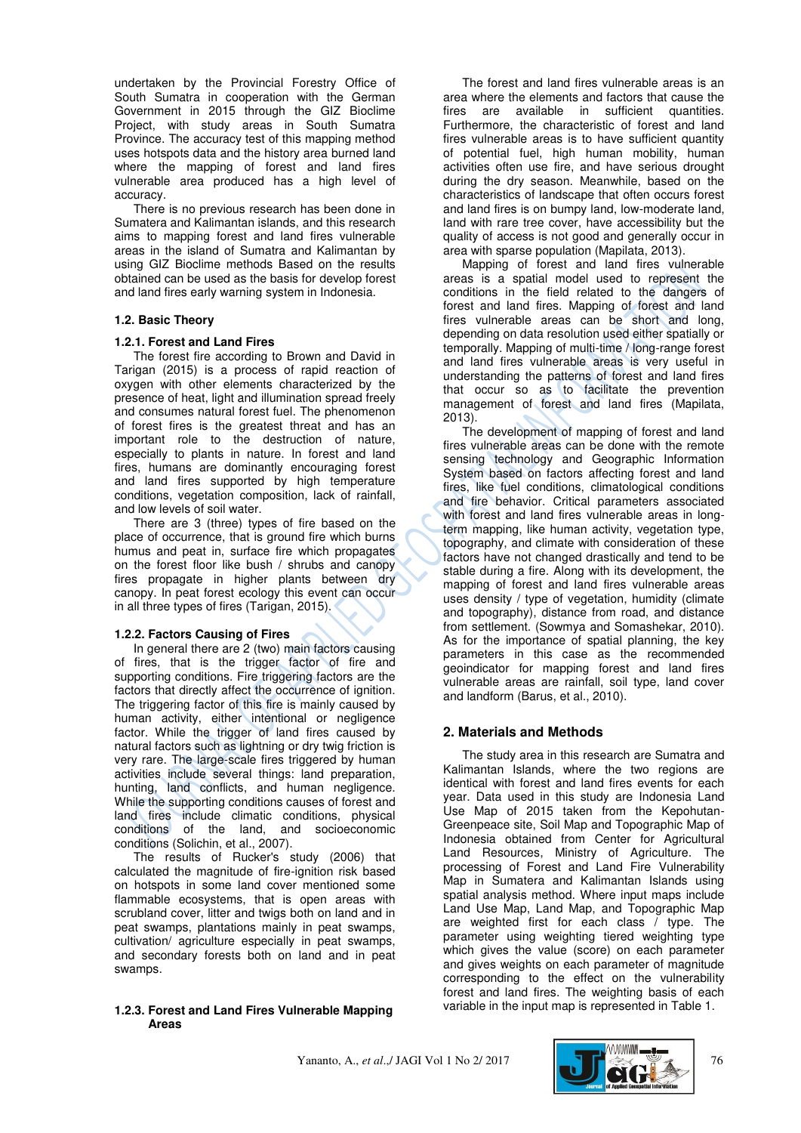undertaken by the Provincial Forestry Office of South Sumatra in cooperation with the German Government in 2015 through the GIZ Bioclime Project, with study areas in South Sumatra Province. The accuracy test of this mapping method uses hotspots data and the history area burned land where the mapping of forest and land fires vulnerable area produced has a high level of accuracy.

There is no previous research has been done in Sumatera and Kalimantan islands, and this research aims to mapping forest and land fires vulnerable areas in the island of Sumatra and Kalimantan by using GIZ Bioclime methods Based on the results obtained can be used as the basis for develop forest and land fires early warning system in Indonesia.

# **1.2. Basic Theory**

# **1.2.1. Forest and Land Fires**

The forest fire according to Brown and David in Tarigan (2015) is a process of rapid reaction of oxygen with other elements characterized by the presence of heat, light and illumination spread freely and consumes natural forest fuel. The phenomenon of forest fires is the greatest threat and has an important role to the destruction of nature, especially to plants in nature. In forest and land fires, humans are dominantly encouraging forest and land fires supported by high temperature conditions, vegetation composition, lack of rainfall, and low levels of soil water.

There are 3 (three) types of fire based on the place of occurrence, that is ground fire which burns humus and peat in, surface fire which propagates on the forest floor like bush / shrubs and canopy fires propagate in higher plants between dry canopy. In peat forest ecology this event can occur in all three types of fires (Tarigan, 2015).

# **1.2.2. Factors Causing of Fires**

In general there are 2 (two) main factors causing of fires, that is the trigger factor of fire and supporting conditions. Fire triggering factors are the factors that directly affect the occurrence of ignition. The triggering factor of this fire is mainly caused by human activity, either intentional or negligence factor. While the trigger of land fires caused by natural factors such as lightning or dry twig friction is very rare. The large-scale fires triggered by human activities include several things: land preparation, hunting, land conflicts, and human negligence. While the supporting conditions causes of forest and land fires include climatic conditions, physical conditions of the land, and socioeconomic conditions (Solichin, et al., 2007).

The results of Rucker's study (2006) that calculated the magnitude of fire-ignition risk based on hotspots in some land cover mentioned some flammable ecosystems, that is open areas with scrubland cover, litter and twigs both on land and in peat swamps, plantations mainly in peat swamps, cultivation/ agriculture especially in peat swamps, and secondary forests both on land and in peat swamps.

# **1.2.3. Forest and Land Fires Vulnerable Mapping Areas**

The forest and land fires vulnerable areas is an area where the elements and factors that cause the fires are available in sufficient quantities. Furthermore, the characteristic of forest and land fires vulnerable areas is to have sufficient quantity of potential fuel, high human mobility, human activities often use fire, and have serious drought during the dry season. Meanwhile, based on the characteristics of landscape that often occurs forest and land fires is on bumpy land, low-moderate land, land with rare tree cover, have accessibility but the quality of access is not good and generally occur in area with sparse population (Mapilata, 2013).

Mapping of forest and land fires vulnerable areas is a spatial model used to represent the conditions in the field related to the dangers of forest and land fires. Mapping of forest and land fires vulnerable areas can be short and long, depending on data resolution used either spatially or temporally. Mapping of multi-time / long-range forest and land fires vulnerable areas is very useful in understanding the patterns of forest and land fires that occur so as to facilitate the prevention management of forest and land fires (Mapilata, 2013).

The development of mapping of forest and land fires vulnerable areas can be done with the remote sensing technology and Geographic Information System based on factors affecting forest and land fires, like fuel conditions, climatological conditions and fire behavior. Critical parameters associated with forest and land fires vulnerable areas in longterm mapping, like human activity, vegetation type, topography, and climate with consideration of these factors have not changed drastically and tend to be stable during a fire. Along with its development, the mapping of forest and land fires vulnerable areas uses density / type of vegetation, humidity (climate and topography), distance from road, and distance from settlement. (Sowmya and Somashekar, 2010). As for the importance of spatial planning, the key parameters in this case as the recommended geoindicator for mapping forest and land fires vulnerable areas are rainfall, soil type, land cover and landform (Barus, et al., 2010).

# **2. Materials and Methods**

The study area in this research are Sumatra and Kalimantan Islands, where the two regions are identical with forest and land fires events for each year. Data used in this study are Indonesia Land Use Map of 2015 taken from the Kepohutan-Greenpeace site, Soil Map and Topographic Map of Indonesia obtained from Center for Agricultural Land Resources, Ministry of Agriculture. The processing of Forest and Land Fire Vulnerability Map in Sumatera and Kalimantan Islands using spatial analysis method. Where input maps include Land Use Map, Land Map, and Topographic Map are weighted first for each class / type. The parameter using weighting tiered weighting type which gives the value (score) on each parameter and gives weights on each parameter of magnitude corresponding to the effect on the vulnerability forest and land fires. The weighting basis of each variable in the input map is represented in Table 1.

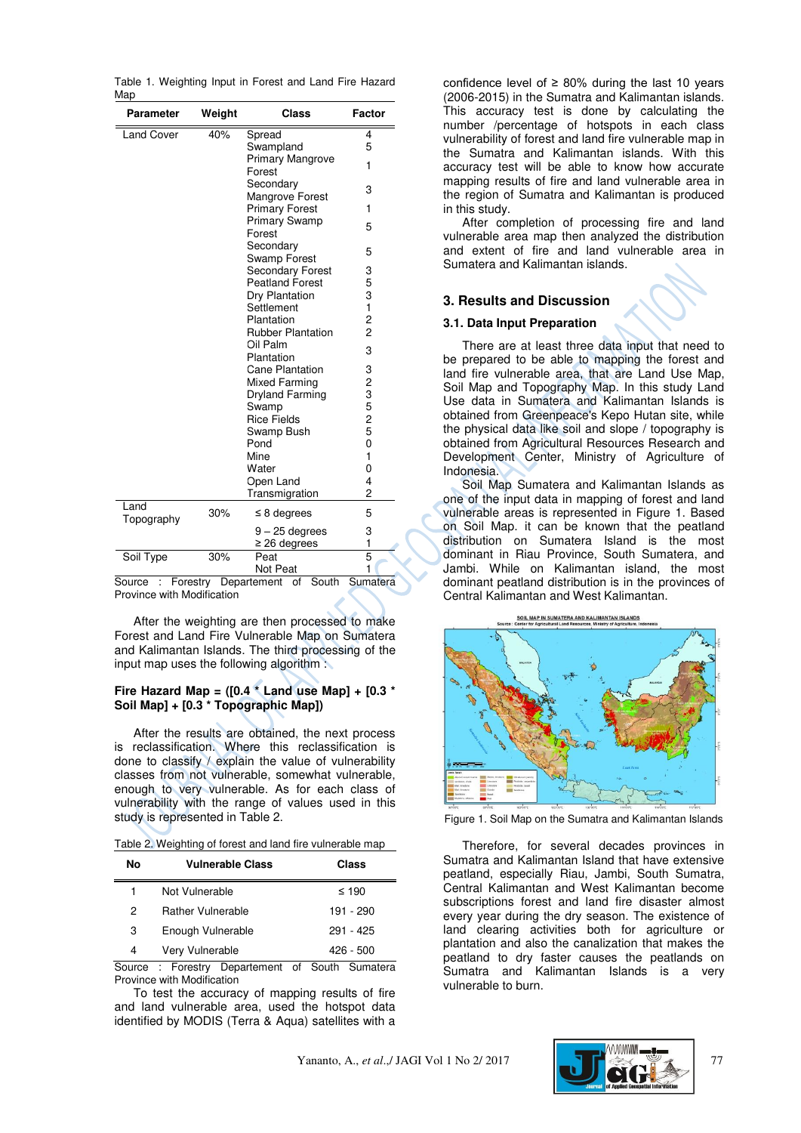|     | Table 1. Weighting Input in Forest and Land Fire Hazard |  |  |  |  |
|-----|---------------------------------------------------------|--|--|--|--|
| Map |                                                         |  |  |  |  |

| <b>Parameter</b>   | Weight | Class                        | <b>Factor</b> |
|--------------------|--------|------------------------------|---------------|
| <b>Land Cover</b>  | 40%    | Spread                       | 4             |
|                    |        | Swampland                    | 5             |
|                    |        | Primary Mangrove             | 1             |
|                    |        | Forest                       |               |
|                    |        | Secondary<br>Mangrove Forest | 3             |
|                    |        | <b>Primary Forest</b>        | 1             |
|                    |        | <b>Primary Swamp</b>         |               |
|                    |        | Forest                       | 5             |
|                    |        | Secondary                    | 5             |
|                    |        | Swamp Forest                 |               |
|                    |        | <b>Secondary Forest</b>      | 3             |
|                    |        | <b>Peatland Forest</b>       | 5             |
|                    |        | Dry Plantation               | 3             |
|                    |        | Settlement                   | 1             |
|                    |        | Plantation                   | $\frac{2}{2}$ |
|                    |        | <b>Rubber Plantation</b>     |               |
|                    |        | Oil Palm<br>Plantation       | 3             |
|                    |        | <b>Cane Plantation</b>       |               |
|                    |        | Mixed Farming                |               |
|                    |        | Dryland Farming              |               |
|                    |        | Swamp                        |               |
|                    |        | <b>Rice Fields</b>           | 323525        |
|                    |        | Swamp Bush                   |               |
|                    |        | Pond                         | 0             |
|                    |        | Mine                         | 1             |
|                    |        | Water                        | 0             |
|                    |        | Open Land                    | 4             |
|                    |        | Transmigration               | 2             |
| Land<br>Topography | 30%    | $\leq$ 8 degrees             | 5             |
|                    |        | $9 - 25$ degrees             | 3             |
|                    |        | $\geq$ 26 degrees            | 1             |
| Soil Type          | 30%    | Peat                         | 5             |
|                    |        | Not Peat                     | 1             |

Source : Forestry Departement of South Sumatera Province with Modification

After the weighting are then processed to make Forest and Land Fire Vulnerable Map on Sumatera and Kalimantan Islands. The third processing of the input map uses the following algorithm :

#### **Fire Hazard Map = ([0.4 \* Land use Map] + [0.3 \* Soil Map] + [0.3 \* Topographic Map])**

After the results are obtained, the next process is reclassification. Where this reclassification is done to classify / explain the value of vulnerability classes from not vulnerable, somewhat vulnerable, enough to very vulnerable. As for each class of vulnerability with the range of values used in this study is represented in Table 2.

Table 2. Weighting of forest and land fire vulnerable map

| No | <b>Vulnerable Class</b>  | Class      |
|----|--------------------------|------------|
| 1  | Not Vulnerable           | $\leq 190$ |
| 2  | <b>Rather Vulnerable</b> | 191 - 290  |
| З  | Enough Vulnerable        | 291 - 425  |
| 4  | Very Vulnerable          | 426 - 500  |

Source : Forestry Departement of South Sumatera Province with Modification

To test the accuracy of mapping results of fire and land vulnerable area, used the hotspot data identified by MODIS (Terra & Aqua) satellites with a confidence level of  $\geq 80\%$  during the last 10 years (2006-2015) in the Sumatra and Kalimantan islands. This accuracy test is done by calculating the number /percentage of hotspots in each class vulnerability of forest and land fire vulnerable map in the Sumatra and Kalimantan islands. With this accuracy test will be able to know how accurate mapping results of fire and land vulnerable area in the region of Sumatra and Kalimantan is produced in this study.

After completion of processing fire and land vulnerable area map then analyzed the distribution and extent of fire and land vulnerable area in Sumatera and Kalimantan islands.

# **3. Results and Discussion**

# **3.1. Data Input Preparation**

There are at least three data input that need to be prepared to be able to mapping the forest and land fire vulnerable area, that are Land Use Map, Soil Map and Topography Map. In this study Land Use data in Sumatera and Kalimantan Islands is obtained from Greenpeace's Kepo Hutan site, while the physical data like soil and slope / topography is obtained from Agricultural Resources Research and Development Center, Ministry of Agriculture of Indonesia.

Soil Map Sumatera and Kalimantan Islands as one of the input data in mapping of forest and land vulnerable areas is represented in Figure 1. Based on Soil Map. it can be known that the peatland distribution on Sumatera Island is the most dominant in Riau Province, South Sumatera, and Jambi. While on Kalimantan island, the most dominant peatland distribution is in the provinces of Central Kalimantan and West Kalimantan.

**OIL MAP IN SUMATERA AND KALIMANTAN ISLAND** 



Figure 1. Soil Map on the Sumatra and Kalimantan Islands

Therefore, for several decades provinces in Sumatra and Kalimantan Island that have extensive peatland, especially Riau, Jambi, South Sumatra, Central Kalimantan and West Kalimantan become subscriptions forest and land fire disaster almost every year during the dry season. The existence of land clearing activities both for agriculture or plantation and also the canalization that makes the peatland to dry faster causes the peatlands on Sumatra and Kalimantan Islands is a very vulnerable to burn.

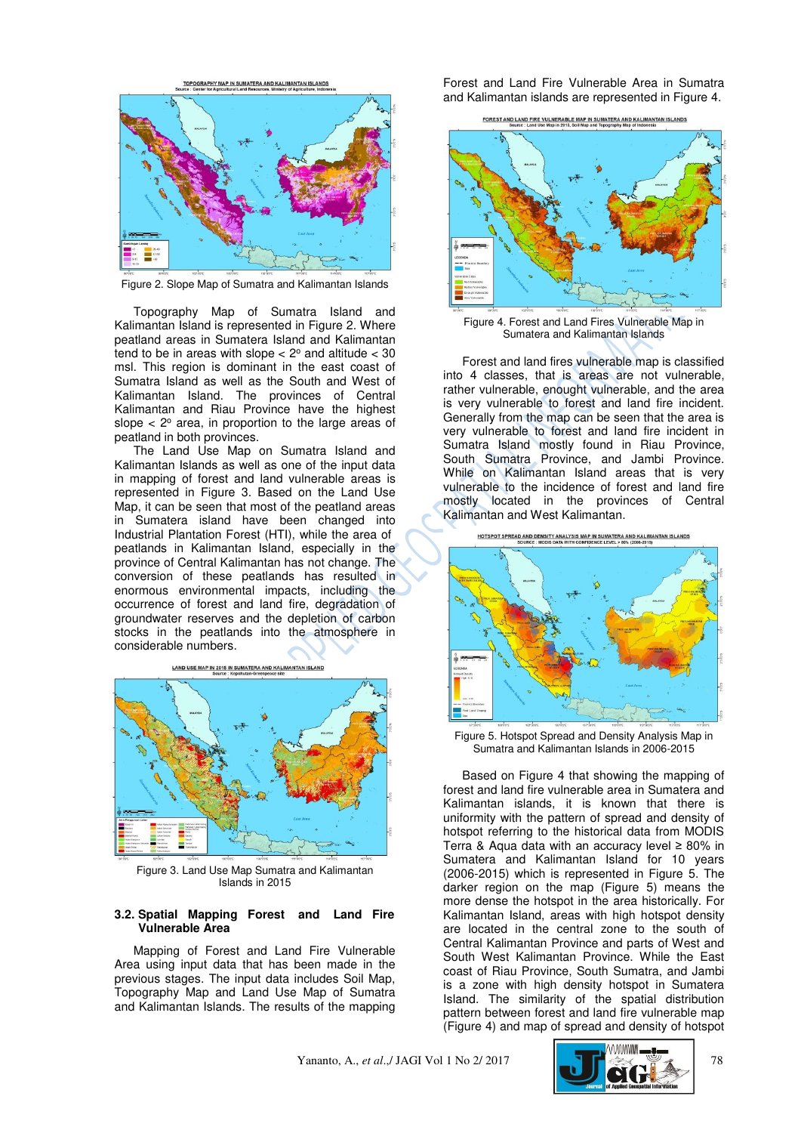

Figure 2. Slope Map of Sumatra and Kalimantan Islands

Topography Map of Sumatra Island and Kalimantan Island is represented in Figure 2. Where peatland areas in Sumatera Island and Kalimantan tend to be in areas with slope  $<$  2 $\degree$  and altitude  $<$  30 msl. This region is dominant in the east coast of Sumatra Island as well as the South and West of Kalimantan Island. The provinces of Central Kalimantan and Riau Province have the highest slope  $<$  2 $\degree$  area, in proportion to the large areas of peatland in both provinces.

The Land Use Map on Sumatra Island and Kalimantan Islands as well as one of the input data in mapping of forest and land vulnerable areas is represented in Figure 3. Based on the Land Use Map, it can be seen that most of the peatland areas in Sumatera island have been changed into Industrial Plantation Forest (HTI), while the area of peatlands in Kalimantan Island, especially in the province of Central Kalimantan has not change. The conversion of these peatlands has resulted in enormous environmental impacts, including the occurrence of forest and land fire, degradation of groundwater reserves and the depletion of carbon stocks in the peatlands into the atmosphere in considerable numbers.



Figure 3. Land Use Map Sumatra and Kalimantan Islands in 2015

#### **3.2. Spatial Mapping Forest and Land Fire Vulnerable Area**

Mapping of Forest and Land Fire Vulnerable Area using input data that has been made in the previous stages. The input data includes Soil Map, Topography Map and Land Use Map of Sumatra and Kalimantan Islands. The results of the mapping

Forest and Land Fire Vulnerable Area in Sumatra and Kalimantan islands are represented in Figure 4.





Figure 4. Forest and Land Fires Vulnerable Map in Sumatera and Kalimantan Islands

Forest and land fires vulnerable map is classified into 4 classes, that is areas are not vulnerable, rather vulnerable, enought vulnerable, and the area is very vulnerable to forest and land fire incident. Generally from the map can be seen that the area is very vulnerable to forest and land fire incident in Sumatra Island mostly found in Riau Province, South Sumatra Province, and Jambi Province. While on Kalimantan Island areas that is very vulnerable to the incidence of forest and land fire mostly located in the provinces of Central Kalimantan and West Kalimantan.





Figure 5. Hotspot Spread and Density Analysis Map in Sumatra and Kalimantan Islands in 2006-2015

Based on Figure 4 that showing the mapping of forest and land fire vulnerable area in Sumatera and Kalimantan islands, it is known that there is uniformity with the pattern of spread and density of hotspot referring to the historical data from MODIS Terra & Aqua data with an accuracy level ≥ 80% in Sumatera and Kalimantan Island for 10 years (2006-2015) which is represented in Figure 5. The darker region on the map (Figure 5) means the more dense the hotspot in the area historically. For Kalimantan Island, areas with high hotspot density are located in the central zone to the south of Central Kalimantan Province and parts of West and South West Kalimantan Province. While the East coast of Riau Province, South Sumatra, and Jambi is a zone with high density hotspot in Sumatera Island. The similarity of the spatial distribution pattern between forest and land fire vulnerable map (Figure 4) and map of spread and density of hotspot

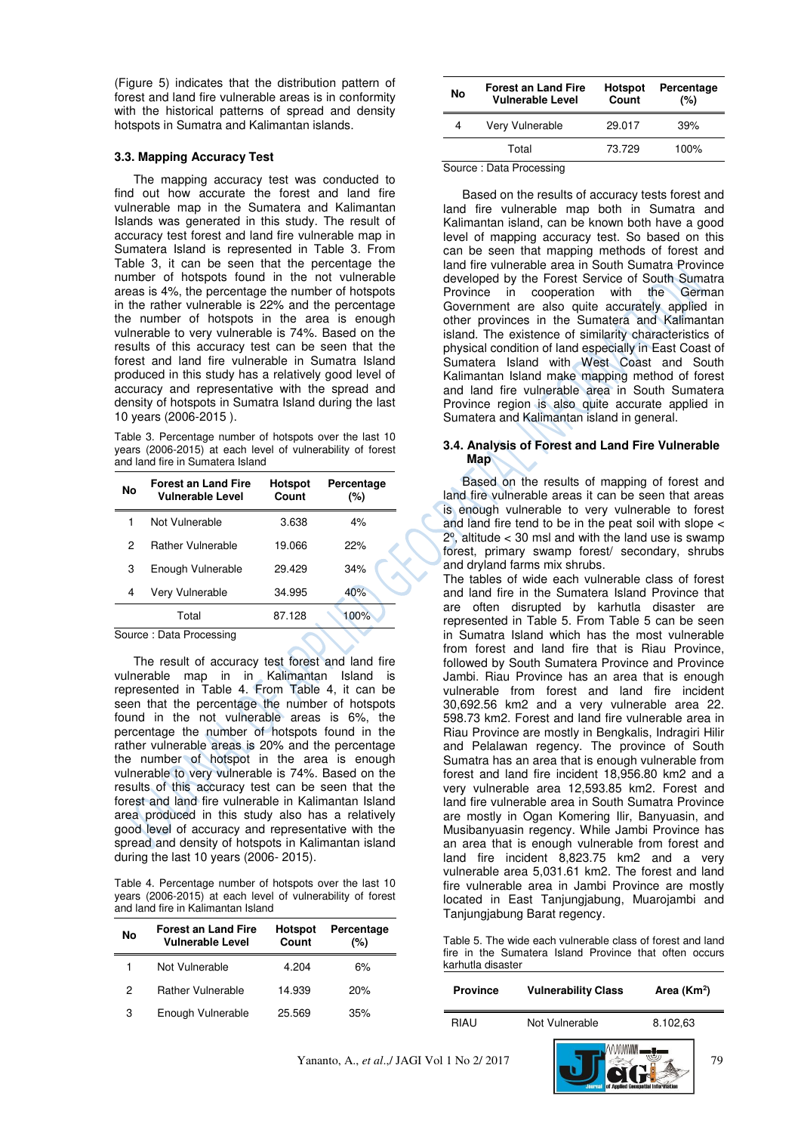(Figure 5) indicates that the distribution pattern of forest and land fire vulnerable areas is in conformity with the historical patterns of spread and density hotspots in Sumatra and Kalimantan islands.

#### **3.3. Mapping Accuracy Test**

The mapping accuracy test was conducted to find out how accurate the forest and land fire vulnerable map in the Sumatera and Kalimantan Islands was generated in this study. The result of accuracy test forest and land fire vulnerable map in Sumatera Island is represented in Table 3. From Table 3, it can be seen that the percentage the number of hotspots found in the not vulnerable areas is 4%, the percentage the number of hotspots in the rather vulnerable is 22% and the percentage the number of hotspots in the area is enough vulnerable to very vulnerable is 74%. Based on the results of this accuracy test can be seen that the forest and land fire vulnerable in Sumatra Island produced in this study has a relatively good level of accuracy and representative with the spread and density of hotspots in Sumatra Island during the last 10 years (2006-2015 ).

Table 3. Percentage number of hotspots over the last 10 years (2006-2015) at each level of vulnerability of forest and land fire in Sumatera Island

| No | <b>Forest an Land Fire</b><br><b>Vulnerable Level</b> | <b>Hotspot</b><br>Count | Percentage<br>(%) |
|----|-------------------------------------------------------|-------------------------|-------------------|
|    | Not Vulnerable                                        | 3.638                   | 4%                |
| 2  | <b>Rather Vulnerable</b>                              | 19.066                  | 22%               |
| 3  | Enough Vulnerable                                     | 29.429                  | 34%               |
| 4  | Very Vulnerable                                       | 34.995                  | 40%               |
|    | Total                                                 | 87.128                  | 100%              |
|    | Carolina - Data Diagogalian                           |                         |                   |

Source : Data Processing

The result of accuracy test forest and land fire vulnerable map in in Kalimantan Island is represented in Table 4. From Table 4, it can be seen that the percentage the number of hotspots found in the not vulnerable areas is 6%, the percentage the number of hotspots found in the rather vulnerable areas is 20% and the percentage the number of hotspot in the area is enough vulnerable to very vulnerable is 74%. Based on the results of this accuracy test can be seen that the forest and land fire vulnerable in Kalimantan Island area produced in this study also has a relatively good level of accuracy and representative with the spread and density of hotspots in Kalimantan island during the last 10 years (2006- 2015).

Table 4. Percentage number of hotspots over the last 10 years (2006-2015) at each level of vulnerability of forest and land fire in Kalimantan Island

| No | <b>Forest an Land Fire</b><br><b>Vulnerable Level</b> | <b>Hotspot</b><br>Count | Percentage<br>(%) |
|----|-------------------------------------------------------|-------------------------|-------------------|
|    | Not Vulnerable                                        | 4.204                   | 6%                |
| 2  | <b>Rather Vulnerable</b>                              | 14.939                  | 20%               |
| 3  | Enough Vulnerable                                     | 25.569                  | 35%               |

| No | <b>Forest an Land Fire</b><br><b>Vulnerable Level</b> | <b>Hotspot</b><br>Count | Percentage<br>(%) |
|----|-------------------------------------------------------|-------------------------|-------------------|
| 4  | Very Vulnerable                                       | 29.017                  | 39%               |
|    | Total                                                 | 73.729                  | 100%              |

Source : Data Processing

Based on the results of accuracy tests forest and land fire vulnerable map both in Sumatra and Kalimantan island, can be known both have a good level of mapping accuracy test. So based on this can be seen that mapping methods of forest and land fire vulnerable area in South Sumatra Province developed by the Forest Service of South Sumatra Province in cooperation with the German Government are also quite accurately applied in other provinces in the Sumatera and Kalimantan island. The existence of similarity characteristics of physical condition of land especially in East Coast of Sumatera Island with West Coast and South Kalimantan Island make mapping method of forest and land fire vulnerable area in South Sumatera Province region is also quite accurate applied in Sumatera and Kalimantan island in general.

#### **3.4. Analysis of Forest and Land Fire Vulnerable Map**

Based on the results of mapping of forest and land fire vulnerable areas it can be seen that areas is enough vulnerable to very vulnerable to forest and land fire tend to be in the peat soil with slope <  $2^{\circ}$ , altitude < 30 msl and with the land use is swamp forest, primary swamp forest/ secondary, shrubs and dryland farms mix shrubs.

The tables of wide each vulnerable class of forest and land fire in the Sumatera Island Province that are often disrupted by karhutla disaster are represented in Table 5. From Table 5 can be seen in Sumatra Island which has the most vulnerable from forest and land fire that is Riau Province, followed by South Sumatera Province and Province Jambi. Riau Province has an area that is enough vulnerable from forest and land fire incident 30,692.56 km2 and a very vulnerable area 22. 598.73 km2. Forest and land fire vulnerable area in Riau Province are mostly in Bengkalis, Indragiri Hilir and Pelalawan regency. The province of South Sumatra has an area that is enough vulnerable from forest and land fire incident 18,956.80 km2 and a very vulnerable area 12,593.85 km2. Forest and land fire vulnerable area in South Sumatra Province are mostly in Ogan Komering Ilir, Banyuasin, and Musibanyuasin regency. While Jambi Province has an area that is enough vulnerable from forest and land fire incident 8,823.75 km2 and a very vulnerable area 5,031.61 km2. The forest and land fire vulnerable area in Jambi Province are mostly located in East Tanjungjabung, Muarojambi and Tanjungjabung Barat regency.

|                   |  |  | Table 5. The wide each vulnerable class of forest and land |  |  |  |  |
|-------------------|--|--|------------------------------------------------------------|--|--|--|--|
|                   |  |  | fire in the Sumatera Island Province that often occurs     |  |  |  |  |
| karhutla disaster |  |  |                                                            |  |  |  |  |

| <b>Province</b> | <b>Vulnerability Class</b> | Area $(Km2)$ |  |
|-----------------|----------------------------|--------------|--|
| RIAU            | Not Vulnerable             | 8.102,63     |  |
| $1 N1 - 212017$ |                            | 70           |  |

 $\overline{\phantom{a}}$ 

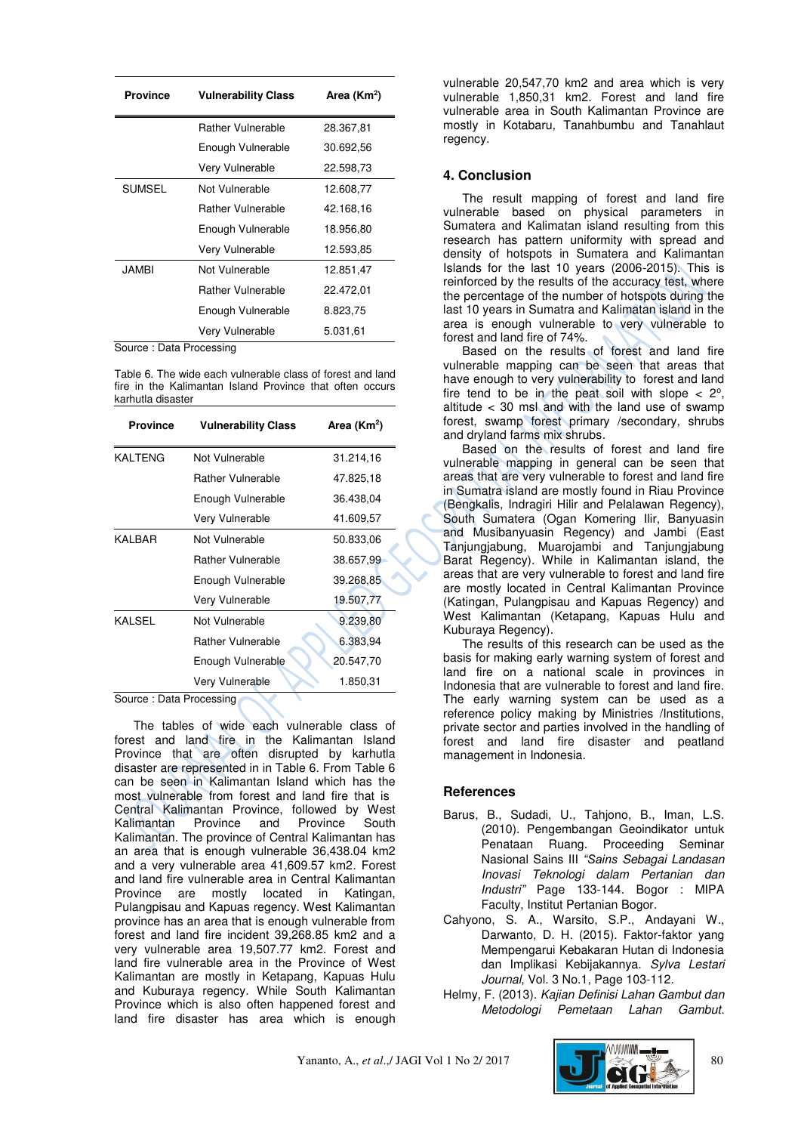| <b>Province</b><br><b>Vulnerability Class</b> |                          | Area (Km <sup>2</sup> ) |
|-----------------------------------------------|--------------------------|-------------------------|
|                                               | Rather Vulnerable        | 28.367,81               |
|                                               | Enough Vulnerable        | 30.692,56               |
|                                               | Very Vulnerable          | 22.598,73               |
| <b>SUMSEL</b>                                 | Not Vulnerable           | 12.608,77               |
|                                               | Rather Vulnerable        | 42.168.16               |
|                                               | Enough Vulnerable        | 18.956.80               |
|                                               | Very Vulnerable          | 12.593,85               |
| JAMBI                                         | Not Vulnerable           | 12.851.47               |
|                                               | <b>Rather Vulnerable</b> | 22.472,01               |
|                                               | Enough Vulnerable        | 8.823,75                |
| -                                             | Very Vulnerable          | 5.031,61                |

Source : Data Processing

Table 6. The wide each vulnerable class of forest and land fire in the Kalimantan Island Province that often occurs karhutla disaster

| <b>Province</b> | <b>Vulnerability Class</b> | Area (Km <sup>2</sup> ) |
|-----------------|----------------------------|-------------------------|
| <b>KALTENG</b>  | Not Vulnerable             | 31.214,16               |
|                 | <b>Rather Vulnerable</b>   | 47.825,18               |
|                 | Enough Vulnerable          | 36.438,04               |
|                 | Very Vulnerable            | 41.609,57               |
| KALBAR          | Not Vulnerable             | 50.833,06               |
|                 | <b>Rather Vulnerable</b>   | 38.657,99               |
|                 | Enough Vulnerable          | 39.268,85               |
|                 | Very Vulnerable            | 19.507,77               |
| <b>KALSEL</b>   | Not Vulnerable             | 9.239,80                |
|                 | <b>Rather Vulnerable</b>   | 6.383,94                |
|                 | Enough Vulnerable          | 20.547,70               |
|                 | Very Vulnerable            | 1.850,31                |

Source : Data Processing

The tables of wide each vulnerable class of forest and land fire in the Kalimantan Island Province that are often disrupted by karhutla disaster are represented in in Table 6. From Table 6 can be seen in Kalimantan Island which has the most vulnerable from forest and land fire that is Central Kalimantan Province, followed by West Kalimantan Province and Province South Kalimantan. The province of Central Kalimantan has an area that is enough vulnerable 36,438.04 km2 and a very vulnerable area 41,609.57 km2. Forest and land fire vulnerable area in Central Kalimantan Province are mostly located in Katingan, Pulangpisau and Kapuas regency. West Kalimantan province has an area that is enough vulnerable from forest and land fire incident 39,268.85 km2 and a very vulnerable area 19,507.77 km2. Forest and land fire vulnerable area in the Province of West Kalimantan are mostly in Ketapang, Kapuas Hulu and Kuburaya regency. While South Kalimantan Province which is also often happened forest and land fire disaster has area which is enough

vulnerable 20,547,70 km2 and area which is very vulnerable 1,850,31 km2. Forest and land fire vulnerable area in South Kalimantan Province are mostly in Kotabaru, Tanahbumbu and Tanahlaut regency.

# **4. Conclusion**

The result mapping of forest and land fire vulnerable based on physical parameters in Sumatera and Kalimatan island resulting from this research has pattern uniformity with spread and density of hotspots in Sumatera and Kalimantan Islands for the last 10 years (2006-2015). This is reinforced by the results of the accuracy test, where the percentage of the number of hotspots during the last 10 years in Sumatra and Kalimatan island in the area is enough vulnerable to very vulnerable to forest and land fire of 74%.

Based on the results of forest and land fire vulnerable mapping can be seen that areas that have enough to very vulnerability to forest and land fire tend to be in the peat soil with slope  $<$  2°, altitude < 30 msl and with the land use of swamp forest, swamp forest primary /secondary, shrubs and dryland farms mix shrubs.

Based on the results of forest and land fire vulnerable mapping in general can be seen that areas that are very vulnerable to forest and land fire in Sumatra island are mostly found in Riau Province (Bengkalis, Indragiri Hilir and Pelalawan Regency), South Sumatera (Ogan Komering Ilir, Banyuasin and Musibanyuasin Regency) and Jambi (East Tanjungjabung, Muarojambi and Tanjungjabung Barat Regency). While in Kalimantan island, the areas that are very vulnerable to forest and land fire are mostly located in Central Kalimantan Province (Katingan, Pulangpisau and Kapuas Regency) and West Kalimantan (Ketapang, Kapuas Hulu and Kuburaya Regency).

The results of this research can be used as the basis for making early warning system of forest and land fire on a national scale in provinces in Indonesia that are vulnerable to forest and land fire. The early warning system can be used as a reference policy making by Ministries /Institutions, private sector and parties involved in the handling of forest and land fire disaster and peatland management in Indonesia.

# **References**

- Barus, B., Sudadi, U., Tahjono, B., Iman, L.S. (2010). Pengembangan Geoindikator untuk Penataan Ruang. Proceeding Seminar Nasional Sains III *"Sains* Sebagai Landasan Inovasi Teknologi dalam Pertanian dan *Industri"* Page 133-144. Bogor : MIPA Faculty, Institut Pertanian Bogor.
- Cahyono, S. A., Warsito, S.P., Andayani W., Darwanto, D. H. (2015). Faktor-faktor yang Mempengarui Kebakaran Hutan di Indonesia dan Implikasi Kebijakannya. Sylva Lestari Journal, Vol. 3 No.1, Page 103-112.
- Helmy, F. (2013). Kajian Definisi Lahan Gambut dan Metodologi Pemetaan Lahan Gambut.